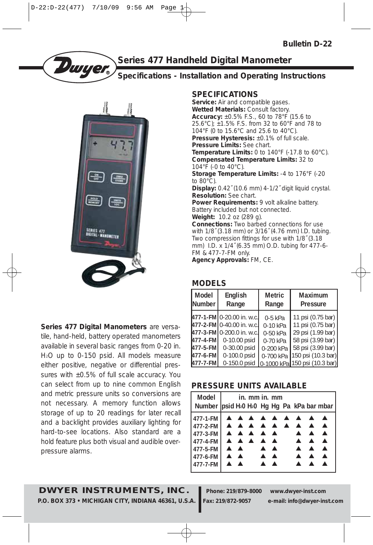

# **Series 477 Handheld Digital Manometer**

# **Specifications - Installation and Operating Instructions**



**Series 477 Digital Manometers** are versatile, hand-held, battery operated manometers available in several basic ranges from 0-20 in. H2O up to 0-150 psid. All models measure either positive, negative or differential pressures with  $\pm 0.5\%$  of full scale accuracy. You can select from up to nine common English and metric pressure units so conversions are not necessary. A memory function allows storage of up to 20 readings for later recall and a backlight provides auxiliary lighting for hard-to-see locations. Also standard are a hold feature plus both visual and audible overpressure alarms.

# **SPECIFICATIONS**

Service: Air and compatible gases. **Wetted Materials:** Consult factory. **Accuracy:** ±0.5% F.S., 60 to 78°F (15.6 to 25.6°C); ±1.5% F.S. from 32 to 60°F and 78 to 104°F (0 to 15.6°C and 25.6 to 40°C). **Pressure Hysteresis:**  $\pm 0.1\%$  of full scale. **Pressure Limits:** See chart. **Temperature Limits:** 0 to 140°F (-17.8 to 60°C). **Compensated Temperature Limits:** 32 to 104°F (-0 to 40°C). **Storage Temperature Limits:** -4 to 176°F (-20 to 80°C). **Display:** 0.42˝ (10.6 mm) 4-1/2˝ digit liquid crystal. **Resolution:** See chart. Power Requirements: 9 volt alkaline battery. Battery included but not connected. **Weight:** 10.2 oz (289 g). **Connections:** Two barbed connections for use with 1/8˝ (3.18 mm) or 3/16˝ (4.76 mm) I.D. tubing. Two compression fittings for use with 1/8˝ (3.18

mm) I.D. x 1/4˝ (6.35 mm) O.D. tubing for 477-6-

FM & 477-7-FM only. **Agency Approvals:** FM, CE.

# **MODELS**

| Model<br><b>Number</b>              | English<br>Range                                                                                                                    | <b>Metric</b><br>Range                                                      | Maximum<br><b>Pressure</b>                                                                                                  |  |  |  |
|-------------------------------------|-------------------------------------------------------------------------------------------------------------------------------------|-----------------------------------------------------------------------------|-----------------------------------------------------------------------------------------------------------------------------|--|--|--|
| 477-4-FMI<br>477-5-FMI<br>477-6-FMI | 477-1-FM 0-20.00 in. w.c.<br>477-2-FM10-40.00 in. w.c.<br>477-3-FM 0-200.0 in. w.c.<br>0-10.00 psid<br>0-30.00 psid<br>0-100.0 psid | $0-5$ kPa<br>$0-10$ kPa<br>$0-50$ kPa<br>0-70 kPa<br>0-200 kPa<br>0-700 kPa | 11 psi (0.75 bar)<br>11 psi (0.75 bar)<br>29 psi (1.99 bar)<br>58 psi (3.99 bar)<br>58 psi (3.99 bar)<br>150 psi (10.3 bar) |  |  |  |
| 477-7-FMI                           | 0-150.0 psid                                                                                                                        |                                                                             | 0-1000 kPa 150 psi (10.3 bar)                                                                                               |  |  |  |

## **PRESSURE UNITS AVAILABLE**

| Model<br>Number   psid H <sub>2</sub> 0 H <sub>2</sub> 0 Hg Hg Pa kPa bar mbar   |                                                                        | in. mm in. mm                |                                                                        |  |                                                          |                                                                              |                                      |
|----------------------------------------------------------------------------------|------------------------------------------------------------------------|------------------------------|------------------------------------------------------------------------|--|----------------------------------------------------------|------------------------------------------------------------------------------|--------------------------------------|
| 477-1-FM<br>477-2-FM<br>477-3-FM<br>477-4-FM<br>477-5-FM<br>477-6-FM<br>477-7-FM | $\blacktriangle$ $\blacktriangle$<br>$\blacktriangle$ $\blacktriangle$ | <b>AAAAA</b><br><b>AAAAA</b> | $\blacktriangle$ $\blacktriangle$<br>$\blacktriangle$ $\blacktriangle$ |  | <b>AAAAAAAAA</b><br>$\blacktriangle$<br>$\blacktriangle$ | $\blacktriangle$<br>$\blacktriangle$<br>$\blacktriangle$<br>$\blacktriangle$ | $\blacktriangle$<br>$\blacktriangle$ |

# **DWYER INSTRUMENTS, INC. Phone: 219/879-8000 www.dwyer-inst.com**

**P.O. BOX 373 • MICHIGAN CITY, INDIANA 46361, U.S.A. Fax: 219/872-9057 e-mail: info@dwyer-inst.com**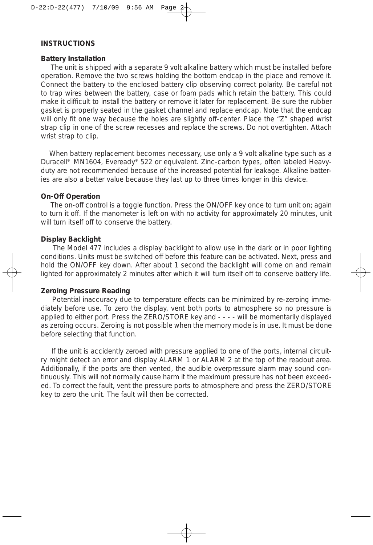## **INSTRUCTIONS**

#### **Battery Installation**

The unit is shipped with a separate 9 volt alkaline battery which must be installed before operation. Remove the two screws holding the bottom endcap in the place and remove it. Connect the battery to the enclosed battery clip observing correct polarity. Be careful not to trap wires between the battery, case or foam pads which retain the battery. This could make it difficult to install the battery or remove it later for replacement. Be sure the rubber gasket is properly seated in the gasket channel and replace endcap. Note that the endcap will only fit one way because the holes are slightly off-center. Place the "Z" shaped wrist strap clip in one of the screw recesses and replace the screws. Do not overtighten. Attach wrist strap to clip.

When battery replacement becomes necessary, use only a 9 volt alkaline type such as a Duracell® MN1604, Eveready® 522 or equivalent. Zinc-carbon types, often labeled Heavyduty are not recommended because of the increased potential for leakage. Alkaline batteries are also a better value because they last up to three times longer in this device.

#### **On-Off Operation**

The on-off control is a toggle function. Press the ON/OFF key once to turn unit on; again to turn it off. If the manometer is left on with no activity for approximately 20 minutes, unit will turn itself off to conserve the battery.

#### **Display Backlight**

The Model 477 includes a display backlight to allow use in the dark or in poor lighting conditions. Units must be switched off before this feature can be activated. Next, press and hold the ON/OFF key down. After about 1 second the backlight will come on and remain lighted for approximately 2 minutes after which it will turn itself off to conserve battery life.

#### **Zeroing Pressure Reading**

Potential inaccuracy due to temperature effects can be minimized by re-zeroing immediately before use. To zero the display, vent both ports to atmosphere so no pressure is applied to either port. Press the ZERO/STORE key and - - - - will be momentarily displayed as zeroing occurs. Zeroing is not possible when the memory mode is in use. It must be done before selecting that function.

If the unit is accidently zeroed with pressure applied to one of the ports, internal circuitry might detect an error and display ALARM 1 or ALARM 2 at the top of the readout area. Additionally, if the ports are then vented, the audible overpressure alarm may sound continuously. This will not normally cause harm it the maximum pressure has not been exceeded. To correct the fault, vent the pressure ports to atmosphere and press the ZERO/STORE key to zero the unit. The fault will then be corrected.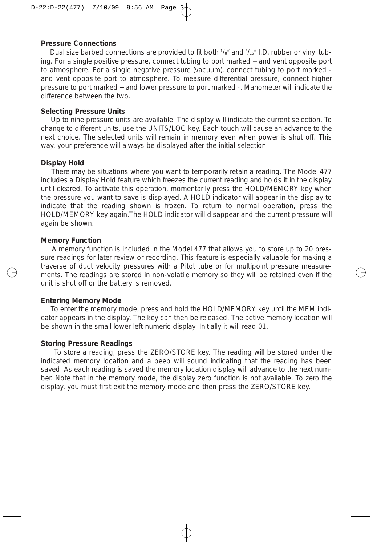#### **Pressure Connections**

Dual size barbed connections are provided to fit both  $1/s''$  and  $3/s''$  I.D. rubber or vinyl tubing. For a single positive pressure, connect tubing to port marked + and vent opposite port to atmosphere. For a single negative pressure (vacuum), connect tubing to port marked and vent opposite port to atmosphere. To measure differential pressure, connect higher pressure to port marked + and lower pressure to port marked -. Manometer will indicate the difference between the two.

#### **Selecting Pressure Units**

Up to nine pressure units are available. The display will indicate the current selection. To change to different units, use the UNITS/LOC key. Each touch will cause an advance to the next choice. The selected units will remain in memory even when power is shut off. This way, your preference will always be displayed after the initial selection.

## **Display Hold**

There may be situations where you want to temporarily retain a reading. The Model 477 includes a Display Hold feature which freezes the current reading and holds it in the display until cleared. To activate this operation, momentarily press the HOLD/MEMORY key when the pressure you want to save is displayed. A HOLD indicator will appear in the display to indicate that the reading shown is frozen. To return to normal operation, press the HOLD/MEMORY key again.The HOLD indicator will disappear and the current pressure will again be shown.

#### **Memory Function**

A memory function is included in the Model 477 that allows you to store up to 20 pressure readings for later review or recording. This feature is especially valuable for making a traverse of duct velocity pressures with a Pitot tube or for multipoint pressure measurements. The readings are stored in non-volatile memory so they will be retained even if the unit is shut off or the battery is removed.

#### **Entering Memory Mode**

To enter the memory mode, press and hold the HOLD/MEMORY key until the MEM indicator appears in the display. The key can then be released. The active memory location will be shown in the small lower left numeric display. Initially it will read 01.

#### **Storing Pressure Readings**

To store a reading, press the ZERO/STORE key. The reading will be stored under the indicated memory location and a beep will sound indicating that the reading has been saved. As each reading is saved the memory location display will advance to the next number. Note that in the memory mode, the display zero function is not available. To zero the display, you must first exit the memory mode and then press the ZERO/STORE key.